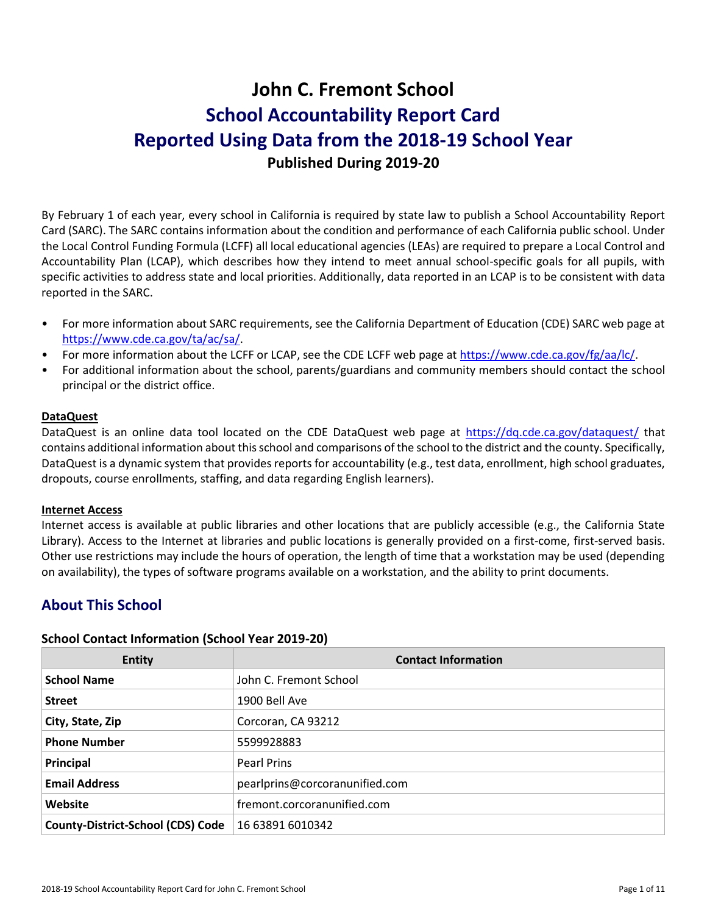# **John C. Fremont School School Accountability Report Card Reported Using Data from the 2018-19 School Year Published During 2019-20**

By February 1 of each year, every school in California is required by state law to publish a School Accountability Report Card (SARC). The SARC contains information about the condition and performance of each California public school. Under the Local Control Funding Formula (LCFF) all local educational agencies (LEAs) are required to prepare a Local Control and Accountability Plan (LCAP), which describes how they intend to meet annual school-specific goals for all pupils, with specific activities to address state and local priorities. Additionally, data reported in an LCAP is to be consistent with data reported in the SARC.

- For more information about SARC requirements, see the California Department of Education (CDE) SARC web page at [https://www.cde.ca.gov/ta/ac/sa/.](https://www.cde.ca.gov/ta/ac/sa/)
- For more information about the LCFF or LCAP, see the CDE LCFF web page at [https://www.cde.ca.gov/fg/aa/lc/.](https://www.cde.ca.gov/fg/aa/lc/)
- For additional information about the school, parents/guardians and community members should contact the school principal or the district office.

### **DataQuest**

DataQuest is an online data tool located on the CDE DataQuest web page at<https://dq.cde.ca.gov/dataquest/> that contains additional information about this school and comparisons of the school to the district and the county. Specifically, DataQuest is a dynamic system that provides reports for accountability (e.g., test data, enrollment, high school graduates, dropouts, course enrollments, staffing, and data regarding English learners).

### **Internet Access**

Internet access is available at public libraries and other locations that are publicly accessible (e.g., the California State Library). Access to the Internet at libraries and public locations is generally provided on a first-come, first-served basis. Other use restrictions may include the hours of operation, the length of time that a workstation may be used (depending on availability), the types of software programs available on a workstation, and the ability to print documents.

# **About This School**

### **School Contact Information (School Year 2019-20)**

| <b>Entity</b>                            | <b>Contact Information</b>     |
|------------------------------------------|--------------------------------|
| <b>School Name</b>                       | John C. Fremont School         |
| <b>Street</b>                            | 1900 Bell Ave                  |
| City, State, Zip                         | Corcoran, CA 93212             |
| <b>Phone Number</b>                      | 5599928883                     |
| Principal                                | Pearl Prins                    |
| <b>Email Address</b>                     | pearlprins@corcoranunified.com |
| Website                                  | fremont.corcoranunified.com    |
| <b>County-District-School (CDS) Code</b> | 16 63891 6010342               |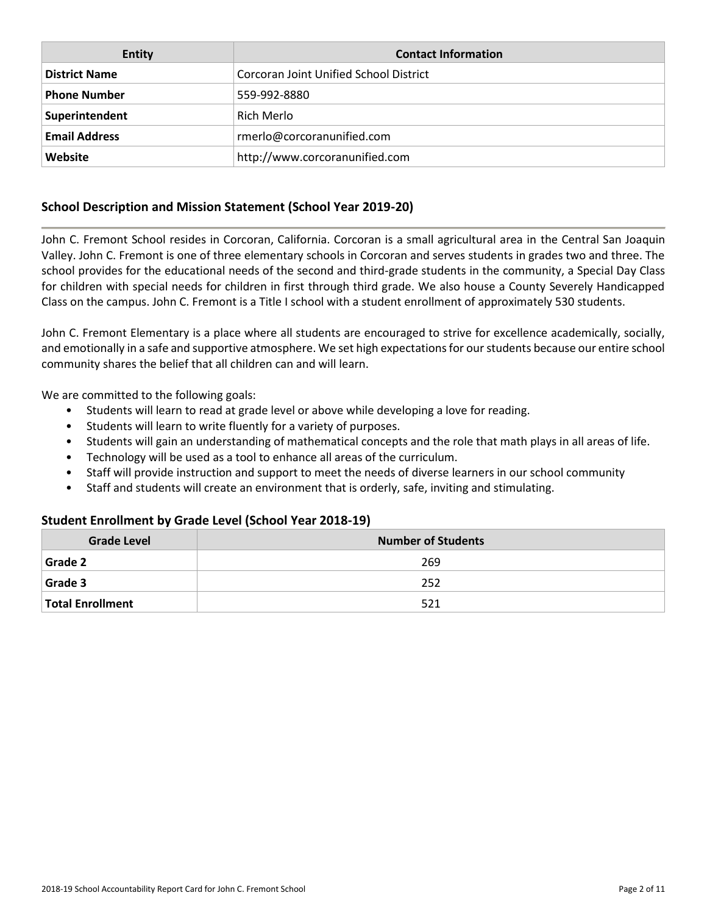| <b>Entity</b>        | <b>Contact Information</b>             |
|----------------------|----------------------------------------|
| <b>District Name</b> | Corcoran Joint Unified School District |
| <b>Phone Number</b>  | 559-992-8880                           |
| Superintendent       | Rich Merlo                             |
| <b>Email Address</b> | rmerlo@corcoranunified.com             |
| Website              | http://www.corcoranunified.com         |

# **School Description and Mission Statement (School Year 2019-20)**

John C. Fremont School resides in Corcoran, California. Corcoran is a small agricultural area in the Central San Joaquin Valley. John C. Fremont is one of three elementary schools in Corcoran and serves students in grades two and three. The school provides for the educational needs of the second and third-grade students in the community, a Special Day Class for children with special needs for children in first through third grade. We also house a County Severely Handicapped Class on the campus. John C. Fremont is a Title I school with a student enrollment of approximately 530 students.

John C. Fremont Elementary is a place where all students are encouraged to strive for excellence academically, socially, and emotionally in a safe and supportive atmosphere. We set high expectations for our students because our entire school community shares the belief that all children can and will learn.

We are committed to the following goals:

- Students will learn to read at grade level or above while developing a love for reading.
- Students will learn to write fluently for a variety of purposes.
- Students will gain an understanding of mathematical concepts and the role that math plays in all areas of life.
- Technology will be used as a tool to enhance all areas of the curriculum.
- Staff will provide instruction and support to meet the needs of diverse learners in our school community
- Staff and students will create an environment that is orderly, safe, inviting and stimulating.

### **Student Enrollment by Grade Level (School Year 2018-19)**

| <b>Grade Level</b>      | <b>Number of Students</b> |  |  |  |  |  |
|-------------------------|---------------------------|--|--|--|--|--|
| <b>Grade 2</b>          | 269                       |  |  |  |  |  |
| <b>Grade 3</b>          | 252                       |  |  |  |  |  |
| <b>Total Enrollment</b> | 521                       |  |  |  |  |  |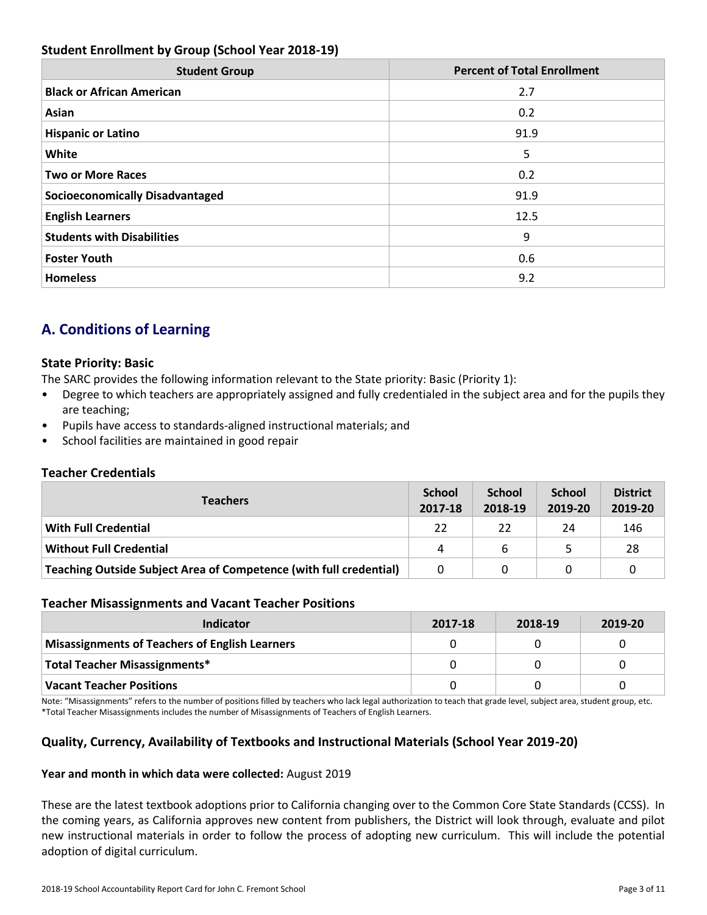# **Student Enrollment by Group (School Year 2018-19)**

| <b>Student Group</b>                   | <b>Percent of Total Enrollment</b> |
|----------------------------------------|------------------------------------|
| <b>Black or African American</b>       | 2.7                                |
| Asian                                  | 0.2                                |
| <b>Hispanic or Latino</b>              | 91.9                               |
| White                                  | 5                                  |
| <b>Two or More Races</b>               | 0.2                                |
| <b>Socioeconomically Disadvantaged</b> | 91.9                               |
| <b>English Learners</b>                | 12.5                               |
| <b>Students with Disabilities</b>      | 9                                  |
| <b>Foster Youth</b>                    | 0.6                                |
| <b>Homeless</b>                        | 9.2                                |

# **A. Conditions of Learning**

### **State Priority: Basic**

The SARC provides the following information relevant to the State priority: Basic (Priority 1):

- Degree to which teachers are appropriately assigned and fully credentialed in the subject area and for the pupils they are teaching;
- Pupils have access to standards-aligned instructional materials; and
- School facilities are maintained in good repair

### **Teacher Credentials**

| <b>Teachers</b>                                                    |    | <b>School</b><br>2018-19 | <b>School</b><br>2019-20 | <b>District</b><br>2019-20 |
|--------------------------------------------------------------------|----|--------------------------|--------------------------|----------------------------|
| <b>With Full Credential</b>                                        | 22 | 22                       | 24                       | 146                        |
| <b>Without Full Credential</b>                                     | 4  | 6                        |                          | 28                         |
| Teaching Outside Subject Area of Competence (with full credential) |    | 0                        |                          |                            |

### **Teacher Misassignments and Vacant Teacher Positions**

| Indicator                                             | 2017-18 | 2018-19 | 2019-20 |
|-------------------------------------------------------|---------|---------|---------|
| <b>Misassignments of Teachers of English Learners</b> |         |         |         |
| Total Teacher Misassignments*                         |         |         |         |
| Vacant Teacher Positions                              |         |         |         |

Note: "Misassignments" refers to the number of positions filled by teachers who lack legal authorization to teach that grade level, subject area, student group, etc. \*Total Teacher Misassignments includes the number of Misassignments of Teachers of English Learners.

# **Quality, Currency, Availability of Textbooks and Instructional Materials (School Year 2019-20)**

### **Year and month in which data were collected:** August 2019

These are the latest textbook adoptions prior to California changing over to the Common Core State Standards (CCSS). In the coming years, as California approves new content from publishers, the District will look through, evaluate and pilot new instructional materials in order to follow the process of adopting new curriculum. This will include the potential adoption of digital curriculum.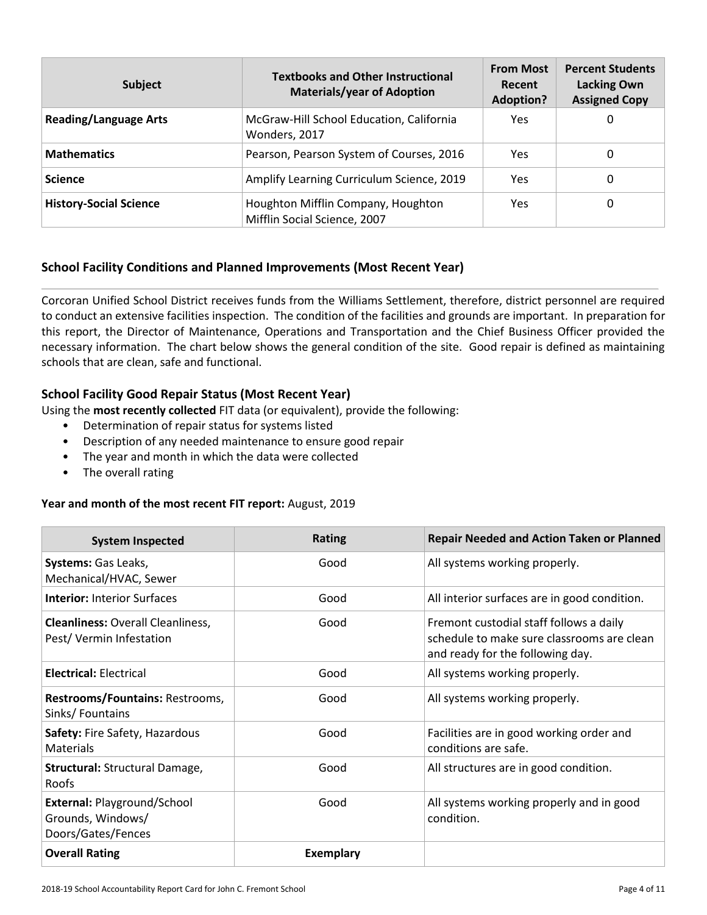| <b>Subject</b>                | <b>Textbooks and Other Instructional</b><br><b>Materials/year of Adoption</b> | <b>From Most</b><br>Recent<br><b>Adoption?</b> | <b>Percent Students</b><br><b>Lacking Own</b><br><b>Assigned Copy</b> |
|-------------------------------|-------------------------------------------------------------------------------|------------------------------------------------|-----------------------------------------------------------------------|
| <b>Reading/Language Arts</b>  | McGraw-Hill School Education, California<br>Wonders, 2017                     | Yes                                            | 0                                                                     |
| <b>Mathematics</b>            | Pearson, Pearson System of Courses, 2016                                      | Yes                                            | 0                                                                     |
| <b>Science</b>                | Amplify Learning Curriculum Science, 2019                                     | Yes                                            | 0                                                                     |
| <b>History-Social Science</b> | Houghton Mifflin Company, Houghton<br>Mifflin Social Science, 2007            | Yes                                            | 0                                                                     |

# **School Facility Conditions and Planned Improvements (Most Recent Year)**

Corcoran Unified School District receives funds from the Williams Settlement, therefore, district personnel are required to conduct an extensive facilities inspection. The condition of the facilities and grounds are important. In preparation for this report, the Director of Maintenance, Operations and Transportation and the Chief Business Officer provided the necessary information. The chart below shows the general condition of the site. Good repair is defined as maintaining schools that are clean, safe and functional.

# **School Facility Good Repair Status (Most Recent Year)**

Using the **most recently collected** FIT data (or equivalent), provide the following:

- Determination of repair status for systems listed
- Description of any needed maintenance to ensure good repair
- The year and month in which the data were collected
- The overall rating

### **Year and month of the most recent FIT report:** August, 2019

| <b>System Inspected</b>                                                | Rating           | <b>Repair Needed and Action Taken or Planned</b>                                                                          |
|------------------------------------------------------------------------|------------------|---------------------------------------------------------------------------------------------------------------------------|
| Systems: Gas Leaks,<br>Mechanical/HVAC, Sewer                          | Good             | All systems working properly.                                                                                             |
| <b>Interior: Interior Surfaces</b>                                     | Good             | All interior surfaces are in good condition.                                                                              |
| <b>Cleanliness: Overall Cleanliness,</b><br>Pest/Vermin Infestation    | Good             | Fremont custodial staff follows a daily<br>schedule to make sure classrooms are clean<br>and ready for the following day. |
| <b>Electrical: Electrical</b>                                          | Good             | All systems working properly.                                                                                             |
| Restrooms/Fountains: Restrooms,<br>Sinks/Fountains                     | Good             | All systems working properly.                                                                                             |
| Safety: Fire Safety, Hazardous<br><b>Materials</b>                     | Good             | Facilities are in good working order and<br>conditions are safe.                                                          |
| <b>Structural: Structural Damage,</b><br>Roofs                         | Good             | All structures are in good condition.                                                                                     |
| External: Playground/School<br>Grounds, Windows/<br>Doors/Gates/Fences | Good             | All systems working properly and in good<br>condition.                                                                    |
| <b>Overall Rating</b>                                                  | <b>Exemplary</b> |                                                                                                                           |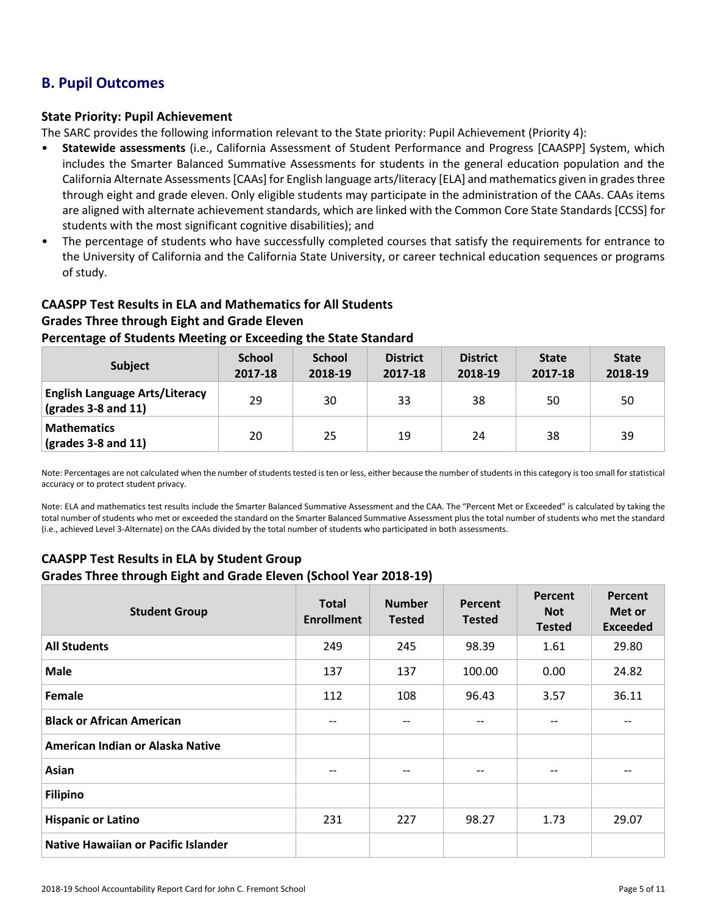# **B. Pupil Outcomes**

### **State Priority: Pupil Achievement**

The SARC provides the following information relevant to the State priority: Pupil Achievement (Priority 4):

- **Statewide assessments** (i.e., California Assessment of Student Performance and Progress [CAASPP] System, which includes the Smarter Balanced Summative Assessments for students in the general education population and the California Alternate Assessments [CAAs] for English language arts/literacy [ELA] and mathematics given in grades three through eight and grade eleven. Only eligible students may participate in the administration of the CAAs. CAAs items are aligned with alternate achievement standards, which are linked with the Common Core State Standards [CCSS] for students with the most significant cognitive disabilities); and
- The percentage of students who have successfully completed courses that satisfy the requirements for entrance to the University of California and the California State University, or career technical education sequences or programs of study.

# **CAASPP Test Results in ELA and Mathematics for All Students Grades Three through Eight and Grade Eleven Percentage of Students Meeting or Exceeding the State Standard**

| <b>Subject</b>                                                                    | <b>School</b><br>2017-18 | <b>School</b><br>2018-19 | <b>District</b><br>2017-18 | <b>District</b><br>2018-19 | <b>State</b><br>2017-18 | <b>State</b><br>2018-19 |
|-----------------------------------------------------------------------------------|--------------------------|--------------------------|----------------------------|----------------------------|-------------------------|-------------------------|
| <b>English Language Arts/Literacy</b><br>$\left(\text{grades }3-8\right)$ and 11) | 29                       | 30                       | 33                         | 38                         | 50                      | 50                      |
| <b>Mathematics</b><br>$\frac{1}{2}$ (grades 3-8 and 11)                           | 20                       | 25                       | 19                         | 24                         | 38                      | 39                      |

Note: Percentages are not calculated when the number of students tested is ten or less, either because the number of students in this category is too small for statistical accuracy or to protect student privacy.

Note: ELA and mathematics test results include the Smarter Balanced Summative Assessment and the CAA. The "Percent Met or Exceeded" is calculated by taking the total number of students who met or exceeded the standard on the Smarter Balanced Summative Assessment plus the total number of students who met the standard (i.e., achieved Level 3-Alternate) on the CAAs divided by the total number of students who participated in both assessments.

# **CAASPP Test Results in ELA by Student Group Grades Three through Eight and Grade Eleven (School Year 2018-19)**

| <b>Student Group</b>                | <b>Total</b><br><b>Enrollment</b> | <b>Number</b><br><b>Tested</b> | Percent<br><b>Tested</b> | Percent<br><b>Not</b><br><b>Tested</b> | Percent<br>Met or<br><b>Exceeded</b> |
|-------------------------------------|-----------------------------------|--------------------------------|--------------------------|----------------------------------------|--------------------------------------|
| <b>All Students</b>                 | 249                               | 245                            | 98.39                    | 1.61                                   | 29.80                                |
| <b>Male</b>                         | 137                               | 137                            | 100.00                   | 0.00                                   | 24.82                                |
| Female                              | 112                               | 108                            | 96.43                    | 3.57                                   | 36.11                                |
| <b>Black or African American</b>    |                                   |                                | $\qquad \qquad -$        |                                        |                                      |
| American Indian or Alaska Native    |                                   |                                |                          |                                        |                                      |
| Asian                               | $-$                               | --                             | $\qquad \qquad -$        | --                                     | --                                   |
| <b>Filipino</b>                     |                                   |                                |                          |                                        |                                      |
| <b>Hispanic or Latino</b>           | 231                               | 227                            | 98.27                    | 1.73                                   | 29.07                                |
| Native Hawaiian or Pacific Islander |                                   |                                |                          |                                        |                                      |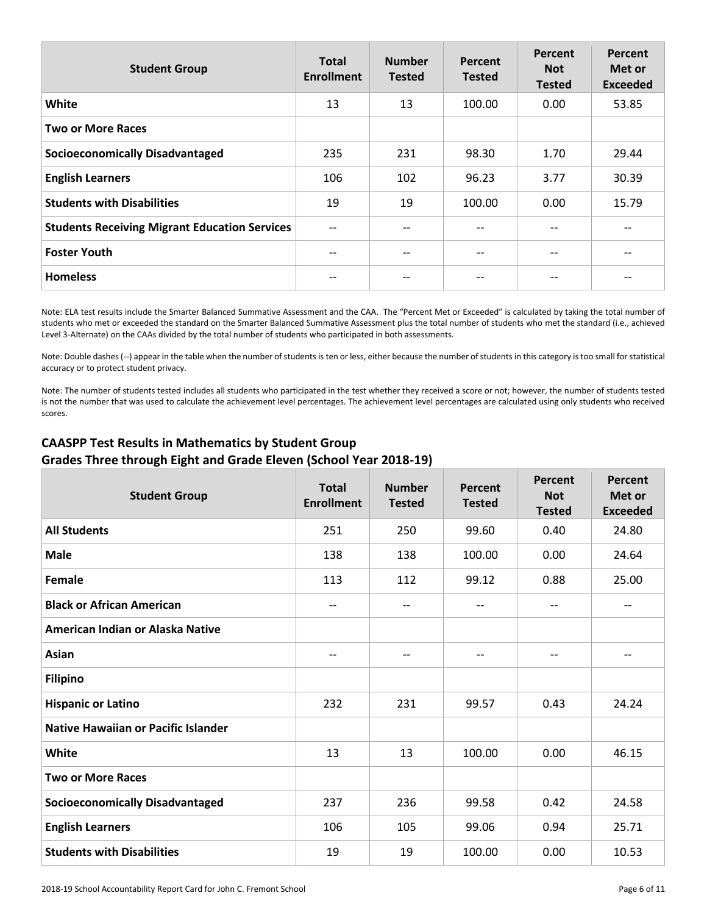| <b>Student Group</b>                                 | <b>Total</b><br><b>Enrollment</b> | <b>Number</b><br><b>Tested</b> | Percent<br><b>Tested</b> | Percent<br><b>Not</b><br><b>Tested</b> | Percent<br>Met or<br><b>Exceeded</b> |
|------------------------------------------------------|-----------------------------------|--------------------------------|--------------------------|----------------------------------------|--------------------------------------|
| White                                                | 13                                | 13                             | 100.00                   | 0.00                                   | 53.85                                |
| <b>Two or More Races</b>                             |                                   |                                |                          |                                        |                                      |
| <b>Socioeconomically Disadvantaged</b>               | 235                               | 231                            | 98.30                    | 1.70                                   | 29.44                                |
| <b>English Learners</b>                              | 106                               | 102                            | 96.23                    | 3.77                                   | 30.39                                |
| <b>Students with Disabilities</b>                    | 19                                | 19                             | 100.00                   | 0.00                                   | 15.79                                |
| <b>Students Receiving Migrant Education Services</b> | $-$                               |                                | $- -$                    | $-$                                    |                                      |
| <b>Foster Youth</b>                                  |                                   |                                | --                       | --                                     |                                      |
| <b>Homeless</b>                                      |                                   |                                | $- -$                    | --                                     |                                      |

Note: ELA test results include the Smarter Balanced Summative Assessment and the CAA. The "Percent Met or Exceeded" is calculated by taking the total number of students who met or exceeded the standard on the Smarter Balanced Summative Assessment plus the total number of students who met the standard (i.e., achieved Level 3-Alternate) on the CAAs divided by the total number of students who participated in both assessments.

Note: Double dashes (--) appear in the table when the number of students is ten or less, either because the number of students in this category is too small for statistical accuracy or to protect student privacy.

Note: The number of students tested includes all students who participated in the test whether they received a score or not; however, the number of students tested is not the number that was used to calculate the achievement level percentages. The achievement level percentages are calculated using only students who received scores.

# **CAASPP Test Results in Mathematics by Student Group Grades Three through Eight and Grade Eleven (School Year 2018-19)**

| <b>Student Group</b>                       | <b>Total</b><br><b>Enrollment</b> | <b>Number</b><br><b>Tested</b> | Percent<br><b>Tested</b> | Percent<br><b>Not</b><br><b>Tested</b> | Percent<br>Met or<br><b>Exceeded</b> |
|--------------------------------------------|-----------------------------------|--------------------------------|--------------------------|----------------------------------------|--------------------------------------|
| <b>All Students</b>                        | 251                               | 250                            | 99.60                    | 0.40                                   | 24.80                                |
| <b>Male</b>                                | 138                               | 138                            | 100.00                   | 0.00                                   | 24.64                                |
| Female                                     | 113                               | 112                            | 99.12                    | 0.88                                   | 25.00                                |
| <b>Black or African American</b>           | $-$                               | $-$                            | $\qquad \qquad -$        | $\overline{\phantom{a}}$               | $- -$                                |
| American Indian or Alaska Native           |                                   |                                |                          |                                        |                                      |
| Asian                                      | $-$                               | $- -$                          | $\qquad \qquad -$        | $-$                                    | $- -$                                |
| <b>Filipino</b>                            |                                   |                                |                          |                                        |                                      |
| <b>Hispanic or Latino</b>                  | 232                               | 231                            | 99.57                    | 0.43                                   | 24.24                                |
| <b>Native Hawaiian or Pacific Islander</b> |                                   |                                |                          |                                        |                                      |
| White                                      | 13                                | 13                             | 100.00                   | 0.00                                   | 46.15                                |
| <b>Two or More Races</b>                   |                                   |                                |                          |                                        |                                      |
| <b>Socioeconomically Disadvantaged</b>     | 237                               | 236                            | 99.58                    | 0.42                                   | 24.58                                |
| <b>English Learners</b>                    | 106                               | 105                            | 99.06                    | 0.94                                   | 25.71                                |
| <b>Students with Disabilities</b>          | 19                                | 19                             | 100.00                   | 0.00                                   | 10.53                                |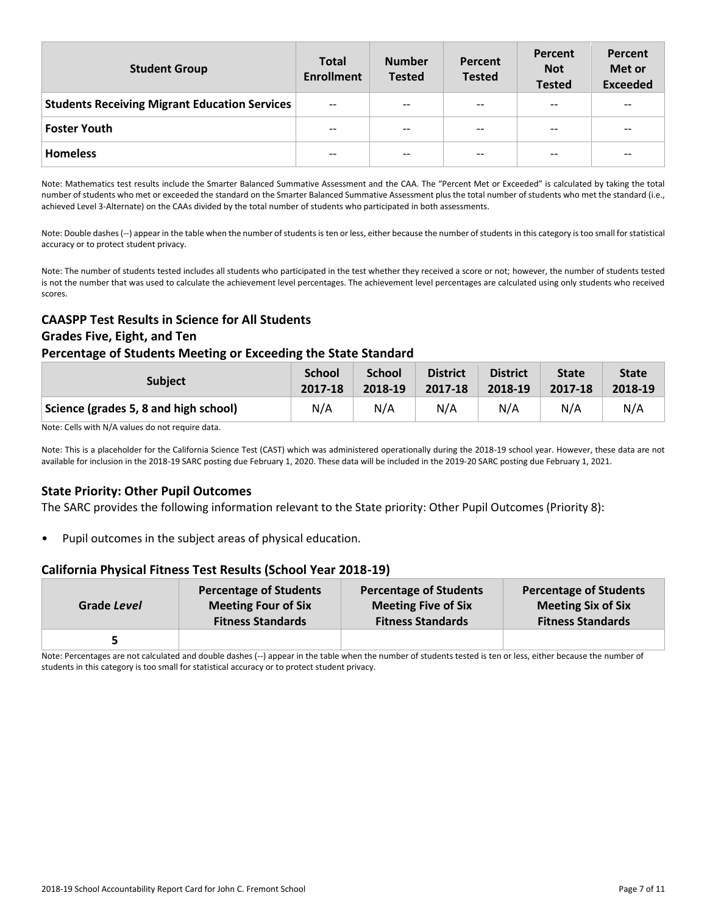| <b>Student Group</b>                                 | <b>Total</b><br><b>Enrollment</b> | <b>Number</b><br><b>Tested</b> | Percent<br><b>Tested</b> | Percent<br><b>Not</b><br><b>Tested</b> | Percent<br>Met or<br><b>Exceeded</b> |
|------------------------------------------------------|-----------------------------------|--------------------------------|--------------------------|----------------------------------------|--------------------------------------|
| <b>Students Receiving Migrant Education Services</b> | $- -$                             | $- -$                          | $- -$                    | --                                     | $- -$                                |
| <b>Foster Youth</b>                                  | $- -$                             | $- -$                          | $- -$                    | --                                     | $- -$                                |
| <b>Homeless</b>                                      | $- -$                             | $\overline{\phantom{m}}$       | $- -$                    | --                                     | $- -$                                |

Note: Mathematics test results include the Smarter Balanced Summative Assessment and the CAA. The "Percent Met or Exceeded" is calculated by taking the total number of students who met or exceeded the standard on the Smarter Balanced Summative Assessment plus the total number of students who met the standard (i.e., achieved Level 3-Alternate) on the CAAs divided by the total number of students who participated in both assessments.

Note: Double dashes (--) appear in the table when the number of students is ten or less, either because the number of students in this category is too small for statistical accuracy or to protect student privacy.

Note: The number of students tested includes all students who participated in the test whether they received a score or not; however, the number of students tested is not the number that was used to calculate the achievement level percentages. The achievement level percentages are calculated using only students who received scores.

# **CAASPP Test Results in Science for All Students Grades Five, Eight, and Ten**

### **Percentage of Students Meeting or Exceeding the State Standard**

| <b>Subject</b>                        | <b>School</b> | <b>School</b> | <b>District</b> | <b>District</b> | <b>State</b> | <b>State</b> |
|---------------------------------------|---------------|---------------|-----------------|-----------------|--------------|--------------|
|                                       | 2017-18       | 2018-19       | 2017-18         | 2018-19         | 2017-18      | 2018-19      |
| Science (grades 5, 8 and high school) | N/A           | N/A           | N/A             | N/A             | N/A          | N/A          |

Note: Cells with N/A values do not require data.

Note: This is a placeholder for the California Science Test (CAST) which was administered operationally during the 2018-19 school year. However, these data are not available for inclusion in the 2018-19 SARC posting due February 1, 2020. These data will be included in the 2019-20 SARC posting due February 1, 2021.

# **State Priority: Other Pupil Outcomes**

The SARC provides the following information relevant to the State priority: Other Pupil Outcomes (Priority 8):

Pupil outcomes in the subject areas of physical education.

### **California Physical Fitness Test Results (School Year 2018-19)**

| Grade Level | <b>Percentage of Students</b> | <b>Percentage of Students</b> | <b>Percentage of Students</b> |
|-------------|-------------------------------|-------------------------------|-------------------------------|
|             | <b>Meeting Four of Six</b>    | <b>Meeting Five of Six</b>    | <b>Meeting Six of Six</b>     |
|             | <b>Fitness Standards</b>      | <b>Fitness Standards</b>      | <b>Fitness Standards</b>      |
|             |                               |                               |                               |

Note: Percentages are not calculated and double dashes (--) appear in the table when the number of students tested is ten or less, either because the number of students in this category is too small for statistical accuracy or to protect student privacy.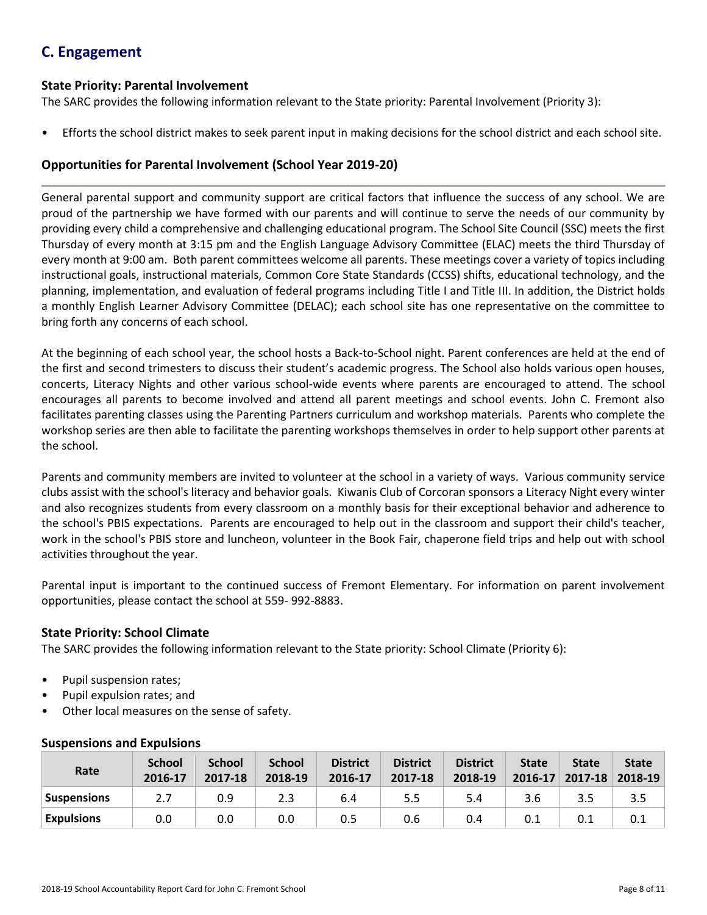# **C. Engagement**

### **State Priority: Parental Involvement**

The SARC provides the following information relevant to the State priority: Parental Involvement (Priority 3):

• Efforts the school district makes to seek parent input in making decisions for the school district and each school site.

# **Opportunities for Parental Involvement (School Year 2019-20)**

General parental support and community support are critical factors that influence the success of any school. We are proud of the partnership we have formed with our parents and will continue to serve the needs of our community by providing every child a comprehensive and challenging educational program. The School Site Council (SSC) meets the first Thursday of every month at 3:15 pm and the English Language Advisory Committee (ELAC) meets the third Thursday of every month at 9:00 am. Both parent committees welcome all parents. These meetings cover a variety of topics including instructional goals, instructional materials, Common Core State Standards (CCSS) shifts, educational technology, and the planning, implementation, and evaluation of federal programs including Title I and Title III. In addition, the District holds a monthly English Learner Advisory Committee (DELAC); each school site has one representative on the committee to bring forth any concerns of each school.

At the beginning of each school year, the school hosts a Back-to-School night. Parent conferences are held at the end of the first and second trimesters to discuss their student's academic progress. The School also holds various open houses, concerts, Literacy Nights and other various school-wide events where parents are encouraged to attend. The school encourages all parents to become involved and attend all parent meetings and school events. John C. Fremont also facilitates parenting classes using the Parenting Partners curriculum and workshop materials. Parents who complete the workshop series are then able to facilitate the parenting workshops themselves in order to help support other parents at the school.

Parents and community members are invited to volunteer at the school in a variety of ways. Various community service clubs assist with the school's literacy and behavior goals. Kiwanis Club of Corcoran sponsors a Literacy Night every winter and also recognizes students from every classroom on a monthly basis for their exceptional behavior and adherence to the school's PBIS expectations. Parents are encouraged to help out in the classroom and support their child's teacher, work in the school's PBIS store and luncheon, volunteer in the Book Fair, chaperone field trips and help out with school activities throughout the year.

Parental input is important to the continued success of Fremont Elementary. For information on parent involvement opportunities, please contact the school at 559- 992-8883.

# **State Priority: School Climate**

The SARC provides the following information relevant to the State priority: School Climate (Priority 6):

- Pupil suspension rates;
- Pupil expulsion rates; and
- Other local measures on the sense of safety.

| Rate               | <b>School</b><br>2016-17 | <b>School</b><br>2017-18 | <b>School</b><br>2018-19 | <b>District</b><br>2016-17 | <b>District</b><br>2017-18 | <b>District</b><br>2018-19 | <b>State</b><br>$2016 - 17$ | <b>State</b><br>$2017 - 18$ | <b>State</b><br>$ 2018-19 $ |
|--------------------|--------------------------|--------------------------|--------------------------|----------------------------|----------------------------|----------------------------|-----------------------------|-----------------------------|-----------------------------|
| <b>Suspensions</b> | 2.7                      | 0.9                      | 2.3                      | 6.4                        | 5.5                        | 5.4                        | 3.6                         | 3.5                         |                             |
| <b>Expulsions</b>  | 0.0                      | 0.0                      | 0.0                      | 0.5                        | 0.6                        | 0.4                        |                             | 0.1                         |                             |

# **Suspensions and Expulsions**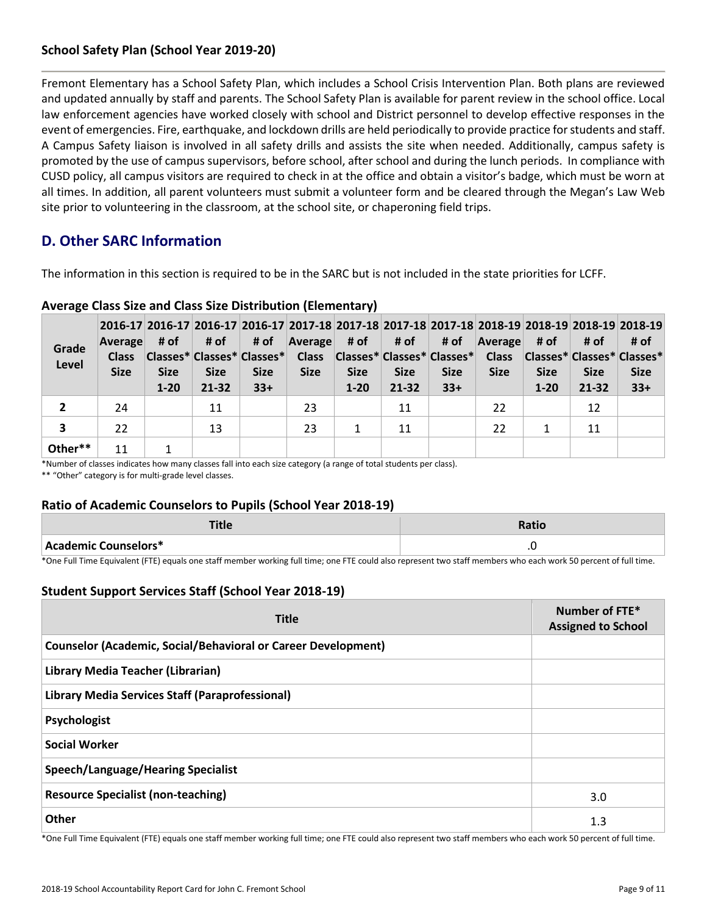# **School Safety Plan (School Year 2019-20)**

Fremont Elementary has a School Safety Plan, which includes a School Crisis Intervention Plan. Both plans are reviewed and updated annually by staff and parents. The School Safety Plan is available for parent review in the school office. Local law enforcement agencies have worked closely with school and District personnel to develop effective responses in the event of emergencies. Fire, earthquake, and lockdown drills are held periodically to provide practice for students and staff. A Campus Safety liaison is involved in all safety drills and assists the site when needed. Additionally, campus safety is promoted by the use of campus supervisors, before school, after school and during the lunch periods. In compliance with CUSD policy, all campus visitors are required to check in at the office and obtain a visitor's badge, which must be worn at all times. In addition, all parent volunteers must submit a volunteer form and be cleared through the Megan's Law Web site prior to volunteering in the classroom, at the school site, or chaperoning field trips.

# **D. Other SARC Information**

The information in this section is required to be in the SARC but is not included in the state priorities for LCFF.

| Grade<br>Level | Average<br><b>Class</b><br><b>Size</b> | # of I<br><b>Size</b><br>$1 - 20$ | ∣#of<br><b>Size</b><br>$21 - 32$ | # of<br><b>Size</b><br>$33+$ | 2016-17 2016-17 2016-17 2016-17 2017-18 2017-18 2017-18 2017-18 2017-18 2018-19 2018-19 2018-19 2018-19<br>Average<br>Classes* Classes* Classes* Class Classes* Classes* Classes* Classes<br><b>Size</b> | # of l<br><b>Size</b><br>$1 - 20$ | # of<br><b>Size</b><br>$21 - 32$ | # of<br><b>Size</b><br>$33+$ | Average<br><b>Size</b> | # of<br><b>Size</b><br>$1 - 20$ | # of<br> Classes* Classes* Classes*<br><b>Size</b><br>21-32 | # of<br><b>Size</b><br>$33+$ |
|----------------|----------------------------------------|-----------------------------------|----------------------------------|------------------------------|----------------------------------------------------------------------------------------------------------------------------------------------------------------------------------------------------------|-----------------------------------|----------------------------------|------------------------------|------------------------|---------------------------------|-------------------------------------------------------------|------------------------------|
| 2              | 24                                     |                                   | 11                               |                              | 23                                                                                                                                                                                                       |                                   | 11                               |                              | 22                     |                                 | 12                                                          |                              |
| 3              | 22                                     |                                   | 13                               |                              | 23                                                                                                                                                                                                       |                                   | 11                               |                              | 22                     |                                 | 11                                                          |                              |
| Other**        | 11                                     |                                   |                                  |                              |                                                                                                                                                                                                          |                                   |                                  |                              |                        |                                 |                                                             |                              |

### **Average Class Size and Class Size Distribution (Elementary)**

\*Number of classes indicates how many classes fall into each size category (a range of total students per class).

\*\* "Other" category is for multi-grade level classes.

### **Ratio of Academic Counselors to Pupils (School Year 2018-19)**

| 14C                  | Ratic          |
|----------------------|----------------|
| Academic Counselors* | $\cdot$ $\sim$ |

\*One Full Time Equivalent (FTE) equals one staff member working full time; one FTE could also represent two staff members who each work 50 percent of full time.

# **Student Support Services Staff (School Year 2018-19)**

| <b>Title</b>                                                         | Number of FTE*<br><b>Assigned to School</b> |
|----------------------------------------------------------------------|---------------------------------------------|
| <b>Counselor (Academic, Social/Behavioral or Career Development)</b> |                                             |
| Library Media Teacher (Librarian)                                    |                                             |
| Library Media Services Staff (Paraprofessional)                      |                                             |
| Psychologist                                                         |                                             |
| <b>Social Worker</b>                                                 |                                             |
| <b>Speech/Language/Hearing Specialist</b>                            |                                             |
| <b>Resource Specialist (non-teaching)</b>                            | 3.0                                         |
| Other                                                                | 1.3                                         |

\*One Full Time Equivalent (FTE) equals one staff member working full time; one FTE could also represent two staff members who each work 50 percent of full time.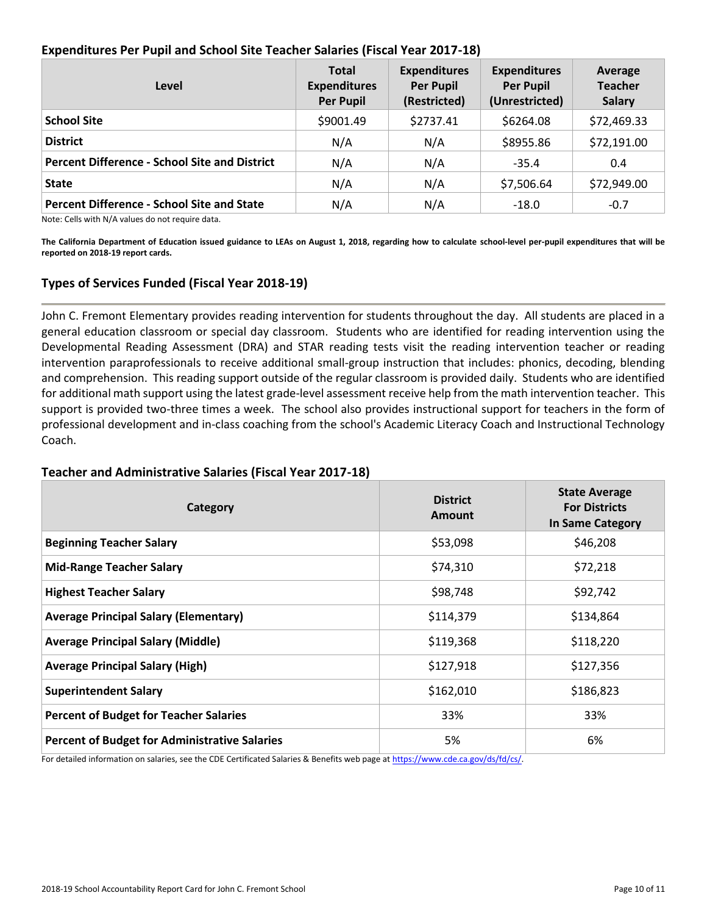|  | Expenditures Per Pupil and School Site Teacher Salaries (Fiscal Year 2017-18) |  |
|--|-------------------------------------------------------------------------------|--|
|  |                                                                               |  |

| Level                                                | <b>Total</b><br><b>Expenditures</b><br><b>Per Pupil</b> | <b>Expenditures</b><br><b>Per Pupil</b><br>(Restricted) | <b>Expenditures</b><br><b>Per Pupil</b><br>(Unrestricted) | Average<br><b>Teacher</b><br><b>Salary</b> |
|------------------------------------------------------|---------------------------------------------------------|---------------------------------------------------------|-----------------------------------------------------------|--------------------------------------------|
| <b>School Site</b>                                   | \$9001.49                                               | \$2737.41                                               | \$6264.08                                                 | \$72,469.33                                |
| <b>District</b>                                      | N/A                                                     | N/A                                                     | \$8955.86                                                 | \$72,191.00                                |
| <b>Percent Difference - School Site and District</b> | N/A                                                     | N/A                                                     | $-35.4$                                                   | 0.4                                        |
| <b>State</b>                                         | N/A                                                     | N/A                                                     | \$7,506.64                                                | \$72,949.00                                |
| <b>Percent Difference - School Site and State</b>    | N/A                                                     | N/A                                                     | $-18.0$                                                   | $-0.7$                                     |

Note: Cells with N/A values do not require data.

**The California Department of Education issued guidance to LEAs on August 1, 2018, regarding how to calculate school-level per-pupil expenditures that will be reported on 2018-19 report cards.**

# **Types of Services Funded (Fiscal Year 2018-19)**

John C. Fremont Elementary provides reading intervention for students throughout the day. All students are placed in a general education classroom or special day classroom. Students who are identified for reading intervention using the Developmental Reading Assessment (DRA) and STAR reading tests visit the reading intervention teacher or reading intervention paraprofessionals to receive additional small-group instruction that includes: phonics, decoding, blending and comprehension. This reading support outside of the regular classroom is provided daily. Students who are identified for additional math support using the latest grade-level assessment receive help from the math intervention teacher. This support is provided two-three times a week. The school also provides instructional support for teachers in the form of professional development and in-class coaching from the school's Academic Literacy Coach and Instructional Technology Coach.

### **Teacher and Administrative Salaries (Fiscal Year 2017-18)**

| Category                                             | <b>District</b><br>Amount | <b>State Average</b><br><b>For Districts</b><br>In Same Category |
|------------------------------------------------------|---------------------------|------------------------------------------------------------------|
| <b>Beginning Teacher Salary</b>                      | \$53,098                  | \$46,208                                                         |
| <b>Mid-Range Teacher Salary</b>                      | \$74,310                  | \$72,218                                                         |
| <b>Highest Teacher Salary</b>                        | \$98,748                  | \$92,742                                                         |
| <b>Average Principal Salary (Elementary)</b>         | \$114,379                 | \$134,864                                                        |
| <b>Average Principal Salary (Middle)</b>             | \$119,368                 | \$118,220                                                        |
| <b>Average Principal Salary (High)</b>               | \$127,918                 | \$127,356                                                        |
| <b>Superintendent Salary</b>                         | \$162,010                 | \$186,823                                                        |
| <b>Percent of Budget for Teacher Salaries</b>        | 33%                       | 33%                                                              |
| <b>Percent of Budget for Administrative Salaries</b> | 5%                        | 6%                                                               |

For detailed information on salaries, see the CDE Certificated Salaries & Benefits web page at [https://www.cde.ca.gov/ds/fd/cs/.](http://www.cde.ca.gov/ds/fd/cs/)